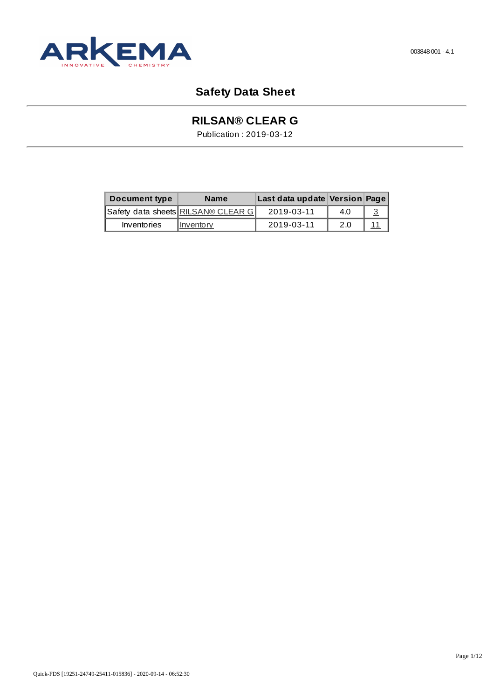

# **Safety Data Sheet**

# **RILSAN® CLEAR G**

Publication : 2019-03-12

| Document type | <b>Name</b>                        | Last data update Version Page |     |  |
|---------------|------------------------------------|-------------------------------|-----|--|
|               | Safety data sheets RILSAN® CLEAR G | 2019-03-11                    | 4.0 |  |
| Inventories   | Inventory                          | 2019-03-11                    | 2.0 |  |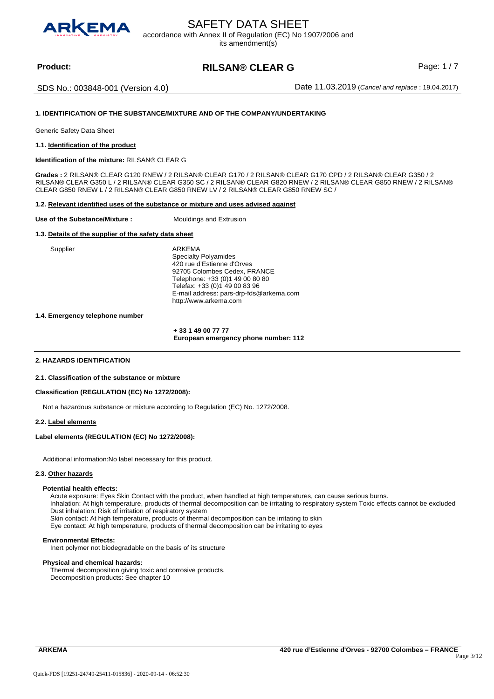<span id="page-2-0"></span>

# SAFETY DATA SHEET

accordance with Annex II of Regulation (EC) No 1907/2006 and

its amendment(s)

# **Product:** Product: **RILSAN® CLEAR G** Page: 1/7

SDS No.: 003848-001 (Version 4.0) Date 11.03.2019 (*Cancel and replace* : 19.04.2017)

# **1. IDENTIFICATION OF THE SUBSTANCE/MIXTURE AND OF THE COMPANY/UNDERTAKING**

Generic Safety Data Sheet

**1.1. Identification of the product** 

**Identification of the mixture:** RILSAN® CLEAR G

**Grades :** 2 RILSAN® CLEAR G120 RNEW / 2 RILSAN® CLEAR G170 / 2 RILSAN® CLEAR G170 CPD / 2 RILSAN® CLEAR G350 / 2 RILSAN® CLEAR G350 L / 2 RILSAN® CLEAR G350 SC / 2 RILSAN® CLEAR G820 RNEW / 2 RILSAN® CLEAR G850 RNEW / 2 RILSAN® CLEAR G850 RNEW L / 2 RILSAN® CLEAR G850 RNEW LV / 2 RILSAN® CLEAR G850 RNEW SC /

#### **1.2. Relevant identified uses of the substance or mixture and uses advised against**

#### **Use of the Substance/Mixture :** Mouldings and Extrusion

### **1.3. Details of the supplier of the safety data sheet**

Supplier ARKEMA Specialty Polyamides 420 rue d'Estienne d'Orves 92705 Colombes Cedex, FRANCE Telephone: +33 (0)1 49 00 80 80 Telefax: +33 (0)1 49 00 83 96 E-mail address: pars-drp-fds@arkema.com http://www.arkema.com

## **1.4. Emergency telephone number**

 **+ 33 1 49 00 77 77 European emergency phone number: 112** 

#### **2. HAZARDS IDENTIFICATION**

#### **2.1. Classification of the substance or mixture**

#### **Classification (REGULATION (EC) No 1272/2008):**

Not a hazardous substance or mixture according to Regulation (EC) No. 1272/2008.

#### **2.2. Label elements**

# **Label elements (REGULATION (EC) No 1272/2008):**

Additional information:No label necessary for this product.

#### **2.3. Other hazards**

#### **Potential health effects:**

Acute exposure: Eyes Skin Contact with the product, when handled at high temperatures, can cause serious burns. Inhalation: At high temperature, products of thermal decomposition can be irritating to respiratory system Toxic effects cannot be excluded

Dust inhalation: Risk of irritation of respiratory system

Skin contact: At high temperature, products of thermal decomposition can be irritating to skin

Eye contact: At high temperature, products of thermal decomposition can be irritating to eyes

### **Environmental Effects:**

Inert polymer not biodegradable on the basis of its structure

#### **Physical and chemical hazards:**

Thermal decomposition giving toxic and corrosive products. Decomposition products: See chapter 10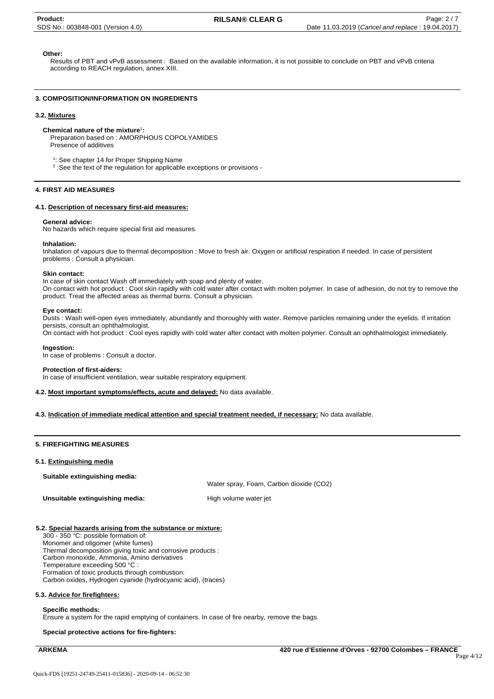# **Other:**

Results of PBT and vPvB assessment : Based on the available information, it is not possible to conclude on PBT and vPvB criteria according to REACH regulation, annex XIII.

# **3. COMPOSITION/INFORMATION ON INGREDIENTS**

#### **3.2. Mixtures**

### **Chemical nature of the mixture**<sup>1</sup> **:**

Preparation based on : AMORPHOUS COPOLYAMIDES Presence of additives

<sup>1</sup>: See chapter 14 for Proper Shipping Name

<sup>2</sup> : See the text of the regulation for applicable exceptions or provisions -

## **4. FIRST AID MEASURES**

# **4.1. Description of necessary first-aid measures:**

#### **General advice:**

No hazards which require special first aid measures.

#### **Inhalation:**

Inhalation of vapours due to thermal decomposition : Move to fresh air. Oxygen or artificial respiration if needed. In case of persistent problems : Consult a physician.

#### **Skin contact:**

In case of skin contact Wash off immediately with soap and plenty of water. On contact with hot product : Cool skin rapidly with cold water after contact with molten polymer. In case of adhesion, do not try to remove the product. Treat the affected areas as thermal burns. Consult a physician.

#### **Eye contact:**

Dusts : Wash well-open eyes immediately, abundantly and thoroughly with water. Remove particles remaining under the eyelids. If irritation persists, consult an ophthalmologist.

On contact with hot product : Cool eyes rapidly with cold water after contact with molten polymer. Consult an ophthalmologist immediately.

#### **Ingestion:**

In case of problems : Consult a doctor.

#### **Protection of first-aiders:**

In case of insufficient ventilation, wear suitable respiratory equipment.

**4.2. Most important symptoms/effects, acute and delayed:** No data available.

**4.3. Indication of immediate medical attention and special treatment needed, if necessary:** No data available.

#### **5. FIREFIGHTING MEASURES**

#### **5.1. Extinguishing media**

**Suitable extinguishing media:**

Water spray, Foam, Carbon dioxide (CO2)

**Unsuitable extinguishing media:** High volume water jet

# **5.2. Special hazards arising from the substance or mixture:**

300 - 350 °C: possible formation of: Monomer and oligomer (white fumes) Thermal decomposition giving toxic and corrosive products : Carbon monoxide, Ammonia, Amino derivatives Temperature exceeding 500 °C : Formation of toxic products through combustion: Carbon oxides, Hydrogen cyanide (hydrocyanic acid), (traces)

## **5.3. Advice for firefighters:**

#### **Specific methods:**

Ensure a system for the rapid emptying of containers. In case of fire nearby, remove the bags.

# **Special protective actions for fire-fighters:**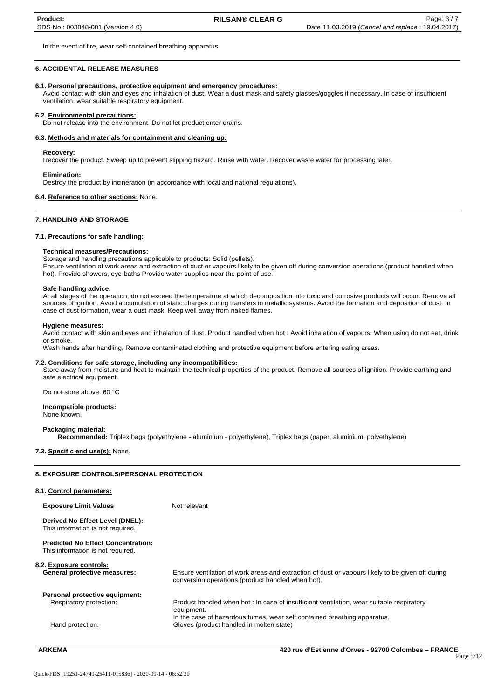In the event of fire, wear self-contained breathing apparatus.

# **6. ACCIDENTAL RELEASE MEASURES**

#### **6.1. Personal precautions, protective equipment and emergency procedures:**

Avoid contact with skin and eyes and inhalation of dust. Wear a dust mask and safety glasses/goggles if necessary. In case of insufficient ventilation, wear suitable respiratory equipment.

#### **6.2. Environmental precautions:**

Do not release into the environment. Do not let product enter drains.

# **6.3. Methods and materials for containment and cleaning up:**

#### **Recovery:**

Recover the product. Sweep up to prevent slipping hazard. Rinse with water. Recover waste water for processing later.

#### **Elimination:**

Destroy the product by incineration (in accordance with local and national regulations).

#### **6.4. Reference to other sections:** None.

#### **7. HANDLING AND STORAGE**

#### **7.1. Precautions for safe handling:**

#### **Technical measures/Precautions:**

Storage and handling precautions applicable to products: Solid (pellets). Ensure ventilation of work areas and extraction of dust or vapours likely to be given off during conversion operations (product handled when hot). Provide showers, eye-baths Provide water supplies near the point of use.

#### **Safe handling advice:**

At all stages of the operation, do not exceed the temperature at which decomposition into toxic and corrosive products will occur. Remove all sources of ignition. Avoid accumulation of static charges during transfers in metallic systems. Avoid the formation and deposition of dust. In case of dust formation, wear a dust mask. Keep well away from naked flames.

#### **Hygiene measures:**

Avoid contact with skin and eyes and inhalation of dust. Product handled when hot : Avoid inhalation of vapours. When using do not eat, drink or smoke.

Wash hands after handling. Remove contaminated clothing and protective equipment before entering eating areas.

#### **7.2. Conditions for safe storage, including any incompatibilities:**

Store away from moisture and heat to maintain the technical properties of the product. Remove all sources of ignition. Provide earthing and safe electrical equipment.

Do not store above: 60 °C

# **Incompatible products:**

None known.

#### **Packaging material:**

**Recommended:** Triplex bags (polyethylene - aluminium - polyethylene), Triplex bags (paper, aluminium, polyethylene)

# **7.3. Specific end use(s):** None.

#### **8. EXPOSURE CONTROLS/PERSONAL PROTECTION**

| 8.1. Control parameters:                                                       |                                                                                                                                                       |
|--------------------------------------------------------------------------------|-------------------------------------------------------------------------------------------------------------------------------------------------------|
| <b>Exposure Limit Values</b>                                                   | Not relevant                                                                                                                                          |
| Derived No Effect Level (DNEL):<br>This information is not required.           |                                                                                                                                                       |
| <b>Predicted No Effect Concentration:</b><br>This information is not required. |                                                                                                                                                       |
| 8.2. Exposure controls:<br>General protective measures:                        | Ensure ventilation of work areas and extraction of dust or vapours likely to be given off during<br>conversion operations (product handled when hot). |
| Personal protective equipment:                                                 |                                                                                                                                                       |
| Respiratory protection:                                                        | Product handled when hot : In case of insufficient ventilation, wear suitable respiratory<br>equipment.                                               |
| Hand protection:                                                               | In the case of hazardous fumes, wear self contained breathing apparatus.<br>Gloves (product handled in molten state)                                  |
|                                                                                |                                                                                                                                                       |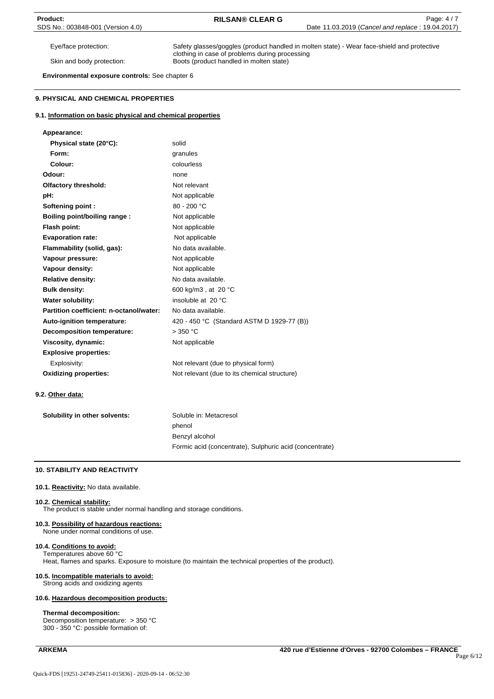Eye/face protection: Safety glasses/goggles (product handled in molten state) - Wear face-shield and protective clothing in case of problems during processing Skin and body protection: Boots (product handled in molten state)

**Environmental exposure controls:** See chapter 6

# **9. PHYSICAL AND CHEMICAL PROPERTIES**

## **9.1. Information on basic physical and chemical properties**

| Appearance:                             |                                              |
|-----------------------------------------|----------------------------------------------|
| Physical state (20°C):                  | solid                                        |
| Form:                                   | granules                                     |
| Colour:                                 | colourless                                   |
| Odour:                                  | none                                         |
| <b>Olfactory threshold:</b>             | Not relevant                                 |
| pH:                                     | Not applicable                               |
| Softening point:                        | $80 - 200 °C$                                |
| Boiling point/boiling range:            | Not applicable                               |
| Flash point:                            | Not applicable                               |
| <b>Evaporation rate:</b>                | Not applicable                               |
| Flammability (solid, qas):              | No data available.                           |
| Vapour pressure:                        | Not applicable                               |
| Vapour density:                         | Not applicable                               |
| <b>Relative density:</b>                | No data available.                           |
| <b>Bulk density:</b>                    | 600 kg/m3, at 20 °C                          |
| Water solubility:                       | insoluble at 20 °C                           |
| Partition coefficient: n-octanol/water: | No data available.                           |
| Auto-ignition temperature:              | 420 - 450 °C (Standard ASTM D 1929-77 (B))   |
| <b>Decomposition temperature:</b>       | $>$ 350 °C                                   |
| Viscosity, dynamic:                     | Not applicable                               |
| <b>Explosive properties:</b>            |                                              |
| Explosivity:                            | Not relevant (due to physical form)          |
| <b>Oxidizing properties:</b>            | Not relevant (due to its chemical structure) |

**9.2. Other data:** 

| Solubility in other solvents: | Soluble in: Metacresol                                  |
|-------------------------------|---------------------------------------------------------|
|                               | phenol                                                  |
|                               | Benzyl alcohol                                          |
|                               | Formic acid (concentrate), Sulphuric acid (concentrate) |

### **10. STABILITY AND REACTIVITY**

# **10.1. Reactivity:** No data available.

#### **10.2. Chemical stability:**

The product is stable under normal handling and storage conditions.

# **10.3. Possibility of hazardous reactions:**

None under normal conditions of use.

### **10.4. Conditions to avoid:**

Temperatures above 60 °C Heat, flames and sparks. Exposure to moisture (to maintain the technical properties of the product).

# **10.5. Incompatible materials to avoid:**

Strong acids and oxidizing agents

### **10.6. Hazardous decomposition products:**

#### **Thermal decomposition:**

Decomposition temperature: > 350 °C 300 - 350 °C: possible formation of: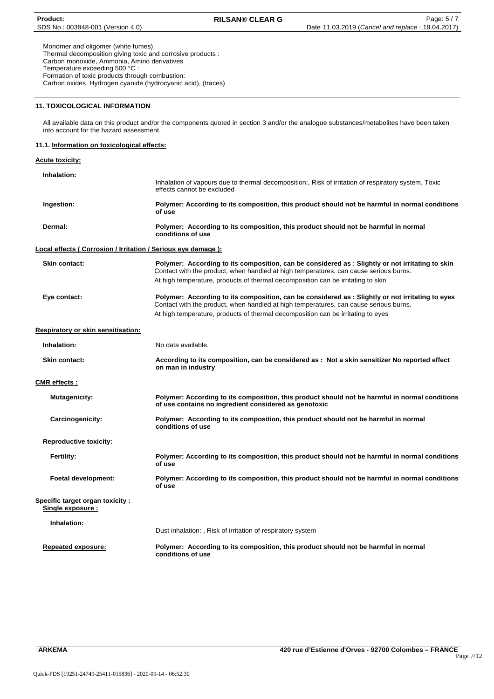Monomer and oligomer (white fumes) Thermal decomposition giving toxic and corrosive products : Carbon monoxide, Ammonia, Amino derivatives Temperature exceeding 500 °C : Formation of toxic products through combustion: Carbon oxides, Hydrogen cyanide (hydrocyanic acid), (traces)

# **11. TOXICOLOGICAL INFORMATION**

All available data on this product and/or the components quoted in section 3 and/or the analogue substances/metabolites have been taken into account for the hazard assessment.

# **11.1. Information on toxicological effects:**

# **Acute toxicity: Inhalation:**  Inhalation of vapours due to thermal decomposition:, Risk of irritation of respiratory system, Toxic effects cannot be excluded **Ingestion: Polymer: According to its composition, this product should not be harmful in normal conditions of use Dermal: Polymer: According to its composition, this product should not be harmful in normal conditions of use Local effects ( Corrosion / Irritation / Serious eye damage ): Skin contact: Polymer: According to its composition, can be considered as : Slightly or not irritating to skin**  Contact with the product, when handled at high temperatures, can cause serious burns. At high temperature, products of thermal decomposition can be irritating to skin **Eye contact: Polymer: According to its composition, can be considered as : Slightly or not irritating to eyes**  Contact with the product, when handled at high temperatures, can cause serious burns. At high temperature, products of thermal decomposition can be irritating to eyes **Respiratory or skin sensitisation: Inhalation:** No data available. **Skin contact: According to its composition, can be considered as : Not a skin sensitizer No reported effect on man in industry CMR effects : Mutagenicity: Polymer: According to its composition, this product should not be harmful in normal conditions of use contains no ingredient considered as genotoxic Carcinogenicity: Polymer: According to its composition, this product should not be harmful in normal conditions of use Reproductive toxicity: Fertility: Polymer: According to its composition, this product should not be harmful in normal conditions of use Foetal development: Polymer: According to its composition, this product should not be harmful in normal conditions of use Specific target organ toxicity : Single exposure : Inhalation:** Dust inhalation: , Risk of irritation of respiratory system **Repeated exposure: Polymer: According to its composition, this product should not be harmful in normal conditions of use**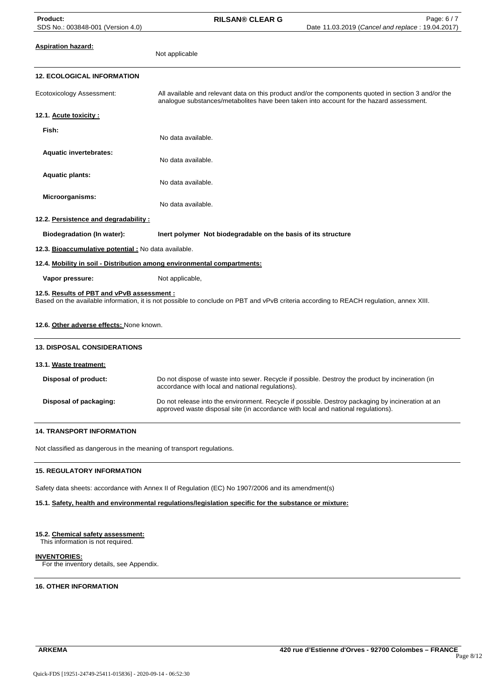Not applicable

**Aspiration hazard:**

# **12. ECOLOGICAL INFORMATION**

Ecotoxicology Assessment: All available and relevant data on this product and/or the components quoted in section 3 and/or the analogue substances/metabolites have been taken into account for the hazard assessment. **12.1. Acute toxicity : Fish:** No data available. **Aquatic invertebrates:** No data available. **Aquatic plants:** No data available. **Microorganisms:** No data available. **12.2. Persistence and degradability : Biodegradation (In water): Inert polymer Not biodegradable on the basis of its structure 12.3. Bioaccumulative potential :** No data available. **12.4. Mobility in soil - Distribution among environmental compartments: Vapor pressure:** Not applicable, **12.5. Results of PBT and vPvB assessment :** Based on the available information, it is not possible to conclude on PBT and vPvB criteria according to REACH regulation, annex XIII.

# **12.6. Other adverse effects:** None known.

| <b>13. DISPOSAL CONSIDERATIONS</b> |                                                                                                                                                                                        |
|------------------------------------|----------------------------------------------------------------------------------------------------------------------------------------------------------------------------------------|
| 13.1. Waste treatment:             |                                                                                                                                                                                        |
| Disposal of product:               | Do not dispose of waste into sewer. Recycle if possible. Destroy the product by incineration (in<br>accordance with local and national regulations).                                   |
| Disposal of packaging:             | Do not release into the environment. Recycle if possible. Destroy packaging by incineration at an<br>approved waste disposal site (in accordance with local and national regulations). |

# **14. TRANSPORT INFORMATION**

Not classified as dangerous in the meaning of transport regulations.

# **15. REGULATORY INFORMATION**

Safety data sheets: accordance with Annex II of Regulation (EC) No 1907/2006 and its amendment(s)

# **15.1. Safety, health and environmental regulations/legislation specific for the substance or mixture:**

# **15.2. Chemical safety assessment:**

This information is not required.

# **INVENTORIES:**

For the inventory details, see Appendix.

# **16. OTHER INFORMATION**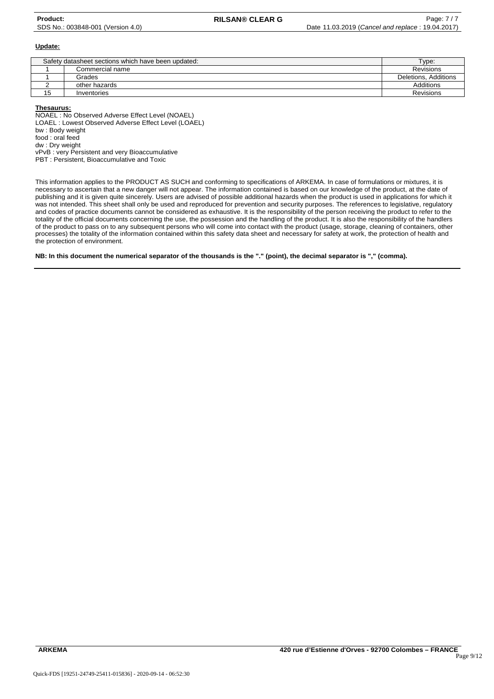# **Update:**

| Safety datasheet sections which have been updated: | Type:           |                      |
|----------------------------------------------------|-----------------|----------------------|
|                                                    | Commercial name | <b>Revisions</b>     |
|                                                    | Grades          | Deletions, Additions |
|                                                    | other hazards   | Additions            |
| 15                                                 | Inventories     | <b>Revisions</b>     |

#### **Thesaurus:**

NOAEL : No Observed Adverse Effect Level (NOAEL) LOAEL : Lowest Observed Adverse Effect Level (LOAEL) bw : Body weight food : oral feed dw : Dry weight vPvB : very Persistent and very Bioaccumulative PBT : Persistent, Bioaccumulative and Toxic

This information applies to the PRODUCT AS SUCH and conforming to specifications of ARKEMA. In case of formulations or mixtures, it is necessary to ascertain that a new danger will not appear. The information contained is based on our knowledge of the product, at the date of publishing and it is given quite sincerely. Users are advised of possible additional hazards when the product is used in applications for which it was not intended. This sheet shall only be used and reproduced for prevention and security purposes. The references to legislative, regulatory and codes of practice documents cannot be considered as exhaustive. It is the responsibility of the person receiving the product to refer to the totality of the official documents concerning the use, the possession and the handling of the product. It is also the responsibility of the handlers of the product to pass on to any subsequent persons who will come into contact with the product (usage, storage, cleaning of containers, other processes) the totality of the information contained within this safety data sheet and necessary for safety at work, the protection of health and the protection of environment.

# **NB: In this document the numerical separator of the thousands is the "." (point), the decimal separator is "," (comma).**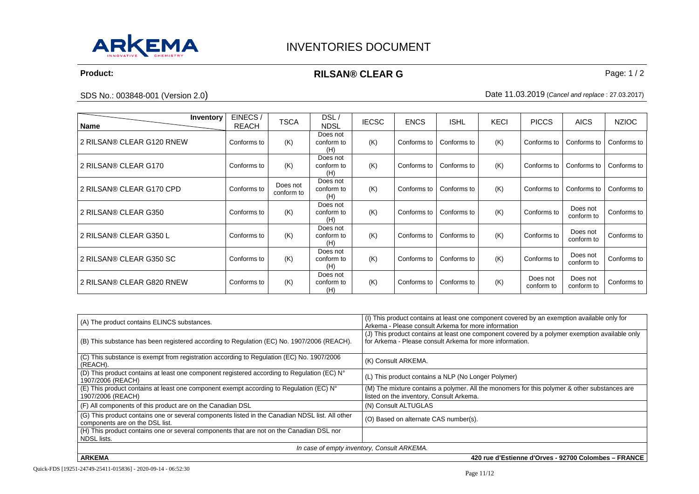<span id="page-10-0"></span>

# **Product:** Product: **RILSAN® CLEAR G** Page: 1/2

SDS No.: 003848-001 (Version 2.0) Date 11.03.2019 (*Cancel and replace* : 27.03.2017)

| Inventory<br>Name         | EINECS/<br><b>REACH</b> | <b>TSCA</b>            | DSL/<br><b>NDSL</b>           | <b>IECSC</b> | <b>ENCS</b> | <b>ISHL</b> | <b>KECI</b> | <b>PICCS</b>           | <b>AICS</b>            | <b>NZIOC</b> |
|---------------------------|-------------------------|------------------------|-------------------------------|--------------|-------------|-------------|-------------|------------------------|------------------------|--------------|
| 2 RILSAN® CLEAR G120 RNEW | Conforms to             | (K)                    | Does not<br>conform to<br>(H) | (K)          | Conforms to | Conforms to | (K)         | Conforms to            | Conforms to            | Conforms to  |
| 2 RILSAN® CLEAR G170      | Conforms to             | (K)                    | Does not<br>conform to<br>(H) | (K)          | Conforms to | Conforms to | (K)         | Conforms to            | Conforms to            | Conforms to  |
| 2 RILSAN® CLEAR G170 CPD  | Conforms to             | Does not<br>conform to | Does not<br>conform to<br>(H) | (K)          | Conforms to | Conforms to | (K)         | Conforms to            | Conforms to            | Conforms to  |
| 2 RILSAN® CLEAR G350      | Conforms to             | (K)                    | Does not<br>conform to<br>(H) | (K)          | Conforms to | Conforms to | (K)         | Conforms to            | Does not<br>conform to | Conforms to  |
| 2 RILSAN® CLEAR G350 L    | Conforms to             | (K)                    | Does not<br>conform to<br>(H) | (K)          | Conforms to | Conforms to | (K)         | Conforms to            | Does not<br>conform to | Conforms to  |
| 2 RILSAN® CLEAR G350 SC   | Conforms to             | (K)                    | Does not<br>conform to<br>(H) | (K)          | Conforms to | Conforms to | (K)         | Conforms to            | Does not<br>conform to | Conforms to  |
| 2 RILSAN® CLEAR G820 RNEW | Conforms to             | (K)                    | Does not<br>conform to<br>(H) | (K)          | Conforms to | Conforms to | (K)         | Does not<br>conform to | Does not<br>conform to | Conforms to  |

| (A) The product contains ELINCS substances.                                                                                        | (I) This product contains at least one component covered by an exemption available only for<br>Arkema - Please consult Arkema for more information         |
|------------------------------------------------------------------------------------------------------------------------------------|------------------------------------------------------------------------------------------------------------------------------------------------------------|
| (B) This substance has been registered according to Regulation (EC) No. 1907/2006 (REACH).                                         | (J) This product contains at least one component covered by a polymer exemption available only<br>for Arkema - Please consult Arkema for more information. |
| (C) This substance is exempt from registration according to Regulation (EC) No. 1907/2006<br>(REACH).                              | (K) Consult ARKEMA.                                                                                                                                        |
| (D) This product contains at least one component registered according to Regulation (EC) N°<br>1907/2006 (REACH)                   | (L) This product contains a NLP (No Longer Polymer)                                                                                                        |
| (E) This product contains at least one component exempt according to Regulation (EC) N°<br>1907/2006 (REACH)                       | (M) The mixture contains a polymer. All the monomers for this polymer & other substances are<br>listed on the inventory, Consult Arkema.                   |
| (F) All components of this product are on the Canadian DSL                                                                         | (N) Consult ALTUGLAS                                                                                                                                       |
| (G) This product contains one or several components listed in the Canadian NDSL list. All other<br>components are on the DSL list. | (O) Based on alternate CAS number(s).                                                                                                                      |
| (H) This product contains one or several components that are not on the Canadian DSL nor<br>NDSL lists.                            |                                                                                                                                                            |
|                                                                                                                                    | In case of empty inventory, Consult ARKEMA.                                                                                                                |
|                                                                                                                                    | $\sim$ $\sim$<br>$\sim$<br>----- <i>-</i> - - -                                                                                                            |

**ARKEMA 420 rue d'Estienne d'Orves - 92700 Colombes – FRANCE**